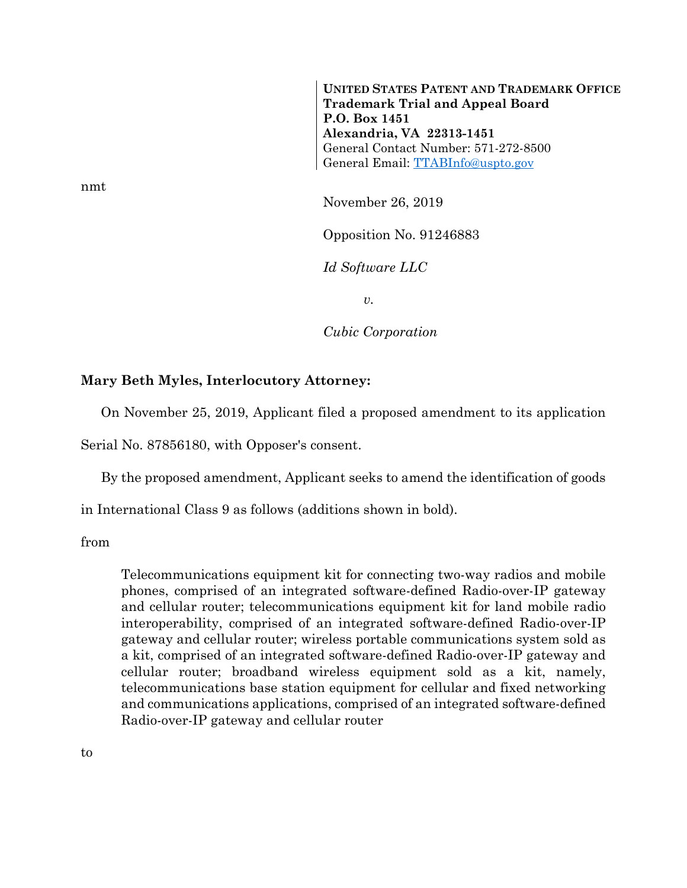**UNITED STATES PATENT AND TRADEMARK OFFICE Trademark Trial and Appeal Board P.O. Box 1451 Alexandria, VA 22313-1451**  General Contact Number: 571-272-8500 General Email: TTABInfo@uspto.gov

November 26, 2019

Opposition No. 91246883

*Id Software LLC* 

*v.* 

*Cubic Corporation* 

## **Mary Beth Myles, Interlocutory Attorney:**

On November 25, 2019, Applicant filed a proposed amendment to its application

Serial No. 87856180, with Opposer's consent.

By the proposed amendment, Applicant seeks to amend the identification of goods

in International Class 9 as follows (additions shown in bold).

from

Telecommunications equipment kit for connecting two-way radios and mobile phones, comprised of an integrated software-defined Radio-over-IP gateway and cellular router; telecommunications equipment kit for land mobile radio interoperability, comprised of an integrated software-defined Radio-over-IP gateway and cellular router; wireless portable communications system sold as a kit, comprised of an integrated software-defined Radio-over-IP gateway and cellular router; broadband wireless equipment sold as a kit, namely, telecommunications base station equipment for cellular and fixed networking and communications applications, comprised of an integrated software-defined Radio-over-IP gateway and cellular router

nmt